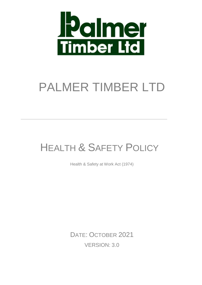

# PALMER TIMBER LTD

# HEALTH & SAFETY POLICY

Health & Safety at Work Act (1974)

DATE: OCTOBER 2021 VERSION: 3.0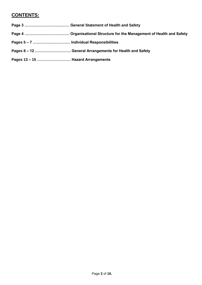# **CONTENTS:**

- **Page 3 ……………………………… General Statement of Health and Safety**
- **Page 4 ……………………………… Organisational Structure for the Management of Health and Safety**
- **Pages 5 – 7 ………………………… Individual Responsibilities**
- **Pages 8 – 12 ……………………….. General Arrangements for Health and Safety**
- **Pages 13 – 15 ……………………… Hazard Arrangements**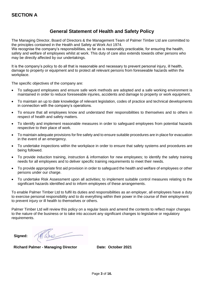# **General Statement of Health and Safety Policy**

The Managing Director, Board of Directors & the Management Team of Palmer Timber Ltd are committed to the principles contained in the Health and Safety at Work Act 1974.

We recognise the company's responsibilities, so far as is reasonably practicable, for ensuring the health, safety and welfare of employees whilst at work. This duty of care also extends towards other persons who may be directly affected by our undertakings.

It is the company's policy to do all that is reasonable and necessary to prevent personal injury, ill health, damage to property or equipment and to protect all relevant persons from foreseeable hazards within the workplace.

The specific objectives of the company are:

- To safeguard employees and ensure safe work methods are adopted and a safe working environment is maintained in order to reduce foreseeable injuries, accidents and damage to property or work equipment.
- To maintain an up to date knowledge of relevant legislation, codes of practice and technical developments in connection with the company's operations.
- To ensure that all employees know and understand their responsibilities to themselves and to others in respect of health and safety matters.
- To identify and implement reasonable measures in order to safeguard employees from potential hazards respective to their place of work.
- To maintain adequate provisions for fire safety and to ensure suitable procedures are in place for evacuation in the event of an emergency.
- To undertake inspections within the workplace in order to ensure that safety systems and procedures are being followed.
- To provide induction training, instruction & information for new employees; to identify the safety training needs for all employees and to deliver specific training requirements to meet their needs.
- To provide appropriate first aid provision in order to safeguard the health and welfare of employees or other persons under our charge.
- To undertake Risk Assessment upon all activities; to implement suitable control measures relating to the significant hazards identified and to inform employees of these arrangements.

To enable Palmer Timber Ltd to fulfil its duties and responsibilities as an employer, all employees have a duty to exercise personal responsibility and to do everything within their power in the course of their employment to prevent injury or ill health to themselves or others.

Palmer Timber Ltd will review this policy on a regular basis and amend the contents to reflect major changes to the nature of the business or to take into account any significant changes to legislative or regulatory requirements.

**Signed:**

Are

 **Richard Palmer - Managing Director Date: October 2021**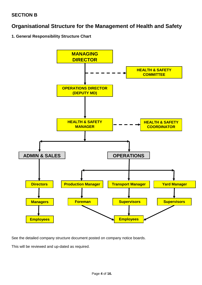# **Organisational Structure for the Management of Health and Safety**

# **1. General Responsibility Structure Chart**



See the detailed company structure document posted on company notice boards.

This will be reviewed and up-dated as required.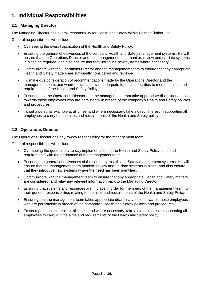# **2. Individual Responsibilities**

# **2.1 Managing Director**

The Managing Director has overall responsibility for Health and Safety within Palmer Timber Ltd.

General responsibilities will include:

- Overseeing the overall application of the Health and Safety Policy.
- Ensuring the general effectiveness of the company Health and Safety management systems. He will ensure that the Operations Director and the management team monitor, review and up-date systems in place as required, and also ensure that they introduce new systems where necessary.
- Communicate with the Operations Director and the management team to ensure that any appropriate Health and Safety matters are sufficiently considered and reviewed.
- To make due consideration of recommendations made by the Operations Director and the management team, and where practical provide adequate funds and facilities to meet the aims and requirements of the Health and Safety Policy.
- Ensuring that the Operations Director and the management team take appropriate disciplinary action towards those employees who are persistently in breach of the company's Health and Safety policies and procedures.
- To set a personal example at all times, and where necessary, take a direct interest in supporting all employees to carry out the aims and requirements of the Health and Safety policy.

### **2.2 Operations Director**

The Operations Director has day-to-day responsibility for the management team.

General responsibilities will include:

- Overseeing the general day-to-day implementation of the Health and Safety Policy aims and requirements with the assistance of the management team.
- Ensuring the general effectiveness of the company Health and Safety management systems. He will ensure that the management team monitor, review and up-date systems in place, and also ensure that they introduce new systems where the need has been identified.
- Communicate with the management team to ensure that any appropriate Health and Safety matters are considered, and relay any relevant information back to the Managing Director.
- Ensuring that systems and resources are in place in order for members of the management team fulfil their general responsibilities relating to the aims and requirements of the Health and Safety Policy.
- Ensuring that the management team takes appropriate disciplinary action towards those employees who are persistently in breach of the company's Health and Safety policies and procedures.
- To set a personal example at all times, and where necessary, take a direct interest in supporting all employees to carry out the aims and requirements of the Health and Safety policy.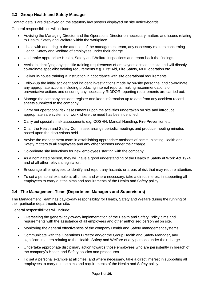# **2.3 Group Health and Safety Manager**

Contact details are displayed on the statutory law posters displayed on site notice-boards.

General responsibilities will include:

- Advising the Managing Director and the Operations Director on necessary matters and issues relating to Health, Safety and Welfare within the workplace.
- Liaise with and bring to the attention of the management team, any necessary matters concerning Health, Safety and Welfare of employees under their charge.
- Undertake appropriate Health, Safety and Welfare inspections and report back the findings.
- Assist in identifying any specific training requirements of employees across the site and will directly co-ordinate specialist training requirements e.g. First Aid, Fire Safety, MHE operation etc.
- Deliver in-house training & instruction in accordance with site operational requirements.
- Follow-up the initial accident and incident investigations made by on-site personnel and co-ordinate any appropriate actions including producing internal reports, making recommendations on preventative actions and ensuring any necessary RIDDOR reporting requirements are carried out.
- Manage the company accident register and keep information up to date from any accident record sheets submitted to the company.
- Carry out operational risk assessments upon the activities undertaken on site and introduce appropriate safe systems of work where the need has been identified.
- Carry out specialist risk assessments e.g. COSHH; Manual Handling; Fire Prevention etc.
- Chair the Health and Safety Committee, arrange periodic meetings and produce meeting minutes based upon the discussions held.
- Advise the management team in establishing appropriate methods of communicating Health and Safety matters to all employees and any other persons under their charge.
- Co-ordinate site inductions for new employees starting with the company.
- As a nominated person, they will have a good understanding of the Health & Safety at Work Act 1974 and of all other relevant legislation.
- Encourage all employees to identify and report any hazards or areas of risk that may require attention.
- To set a personal example at all times, and where necessary, take a direct interest in supporting all employees to carry out the aims and requirements of the Health and Safety policy.

# **2.4 The Management Team (Department Managers and Supervisors)**

The Management Team has day-to-day responsibility for Health, Safety and Welfare during the running of their particular departments on site.

General responsibilities will include:

- Overseeing the general day-to-day implementation of the Health and Safety Policy aims and requirements with the assistance of all employees and other authorised personnel on site.
- Monitoring the general effectiveness of the company Health and Safety management systems.
- Communicate with the Operations Director and/or the Group Health and Safety Manager, any significant matters relating to the Health, Safety and Welfare of any persons under their charge.
- Undertake appropriate disciplinary action towards those employees who are persistently in breach of the company's Health and Safety policies and procedures.
- To set a personal example at all times, and where necessary, take a direct interest in supporting all employees to carry out the aims and requirements of the Health and Safety policy.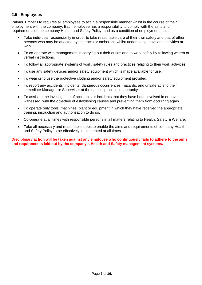# **2.5 Employees**

Palmer Timber Ltd requires all employees to act in a responsible manner whilst in the course of their employment with the company. Each employee has a responsibility to comply with the aims and requirements of the company Health and Safety Policy, and as a condition of employment must:

- Take individual responsibility in order to take reasonable care of their own safety and that of other persons who may be affected by their acts or omissions whilst undertaking tasks and activities at work.
- To co-operate with management in carrying out their duties and to work safely by following written or verbal instructions.
- To follow all appropriate systems of work, safety rules and practices relating to their work activities.
- To use any safety devices and/or safety equipment which is made available for use.
- To wear or to use the protective clothing and/or safety equipment provided.
- To report any accidents, incidents, dangerous occurrences, hazards, and unsafe acts to their immediate Manager or Supervisor at the earliest practical opportunity.
- To assist in the investigation of accidents or incidents that they have been involved in or have witnessed, with the objective of establishing causes and preventing them from occurring again.
- To operate only tools, machines, plant or equipment in which they have received the appropriate training, instruction and authorisation to do so.
- Co-operate at all times with responsible persons in all matters relating to Health, Safety & Welfare.
- Take all necessary and reasonable steps to enable the aims and requirements of company Health and Safety Policy to be effectively implemented at all times.

**Disciplinary action will be taken against any employee who continuously fails to adhere to the aims and requirements laid out by the company's Health and Safety management systems.**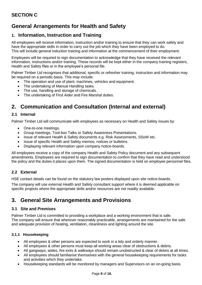# **General Arrangements for Health and Safety**

# **1. Information, Instruction and Training**

All employees will receive information, instruction and/or training to ensure that they can work safely and have the appropriate skills in order to carry out the job which they have been employed to do. This will include general induction training and information at the commencement of their employment.

Employees will be required to sign documentation to acknowledge that they have received the relevant information, instructions and/or training. These records will be kept either in the company training registers, Health and Safety files or in the employee's personal file.

Palmer Timber Ltd recognises that additional, specific or refresher training, instruction and information may be required on a periodic basis. This may include:

- The operation and use of plant, machines, vehicles and equipment.
- The undertaking of Manual Handling tasks.
- The use, handling and storage of chemicals.
- The undertaking of First Aider and Fire Marshal duties.

# **2. Communication and Consultation (Internal and external)**

#### **2.1 Internal**

Palmer Timber Ltd will communicate with employees as necessary on Health and Safety issues by:

- One-to-one meetings.
- Group meetings, Tool-box Talks or Safety Awareness Presentations.
- Issue of relevant Health & Safety documents e.g. Risk Assessments, SSoW etc.
- Issue of specific Health and Safety memos, notices or bulletins.
- Displaying relevant information upon company notice-boards.

All employees receive a copy of the company Health and Safety Policy document and any subsequent amendments. Employees are required to sign documentation to confirm that they have read and understood the policy and the duties it places upon them. The signed documentation is held on employee personnel files.

#### **2.2 External**

HSE contact details can be found on the statutory law posters displayed upon site notice-boards.

The company will use external Health and Safety consultant support where it is deemed applicable on specific projects where the appropriate skills and/or resources are not readily available.

# **3. General Site Arrangements and Provisions**

#### **3.1 Site and Premises**

Palmer Timber Ltd is committed to providing a workplace and a working environment that is safe. The company will ensure that wherever reasonably practicable, arrangements are maintained for the safe and adequate provision of heating, ventilation, cleanliness and lighting around the site.

#### **3.1.1 Housekeeping**

- All employees & other persons are expected to work in a tidy and orderly manner.
- All employees & other persons must keep all working areas clear of obstructions & debris.
- All gangways, aisles, fire exits & walkways should remain unobstructed & clear of debris at all times.
- All employees should familiarise themselves with the general housekeeping requirements for tasks and activities which they undertake.
- Housekeeping standards will be monitored by managers and Supervisors on an on-going basis.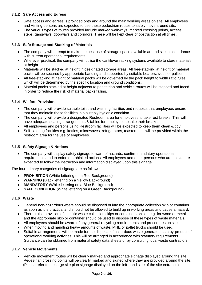#### **3.1.2 Safe Access and Egress**

- Safe access and egress is provided onto and around the main working areas on site. All employees and visiting persons are expected to use these pedestrian routes to safely move around site.
- The various types of routes provided include marked walkways, marked crossing points, access steps, gangways, doorways and corridors. These will be kept clear of obstruction at all times.

#### **3.1.3 Safe Storage and Stacking of Materials**

- The company will attempt to make the best use of storage space available around site in accordance with current operational requirements.
- Wherever practical, the company will utilise the cantilever racking systems available to store materials at height.
- Materials will be stacked at height in designated storage areas. All free-stacking at height of material packs will be secured by appropriate banding and supported by suitable bearers, skids or pallets.
- All free-stacking at height of material packs will be governed by the pack height to width ratio rules which will be determined by the specific location and ground conditions.
- Material packs stacked at height adjacent to pedestrian and vehicle routes will be stepped and faced in order to reduce the risk of material packs falling.

#### **3.1.4 Welfare Provisions**

- The company will provide suitable toilet and washing facilities and requests that employees ensure that they maintain these facilities in a suitably hygienic condition.
- The company will provide a designated Restroom area for employees to take rest-breaks. This will have adequate seating arrangements & tables for employees to take their breaks.
- All employees and persons using Restroom facilities will be expected to keep them clean & tidy.
- Self-catering facilities e.g. kettles, microwaves, refrigerators, toasters etc. will be provided within the restroom area for the use of employees.

#### **3.1.5 Safety Signage & Notices**

• The company will display safety signage to warn of hazards, confirm mandatory operational requirements and to enforce prohibited actions. All employees and other persons who are on site are expected to follow the instruction and information displayed upon this signage.

The four primary categories of signage are as follows:

- **PROHIBITION** (White lettering on a Red Background)
- **WARNING** (Black lettering on a Yellow Background)
- **MANDATORY** (White lettering on a Blue Background)
- **SAFE CONDITION** (White lettering on a Green Background)

#### **3.1.6 Waste**

- General non-hazardous waste should be disposed of into the appropriate collection skip or container as soon as it is practical and should not be allowed to build up in working areas and cause a hazard.
- There is the provision of specific waste collection skips or containers on site e.g. for wood or metal, and the appropriate skip or container should be used to dispose of these types of waste materials.
- All employees should be aware of any general recycling requirements and procedures on site.
- When moving and handling heavy amounts of waste, MHE or pallet trucks should be used.
- Suitable arrangements will be made for the disposal of hazardous waste generated as a by-product of operational working activities. This will be arranged in accordance with statutory requirements. Guidance can be obtained from material safety data sheets or by consulting local waste contractors.

#### **3.1.7 Vehicle Movements**

 Vehicle movement routes will be clearly marked and appropriate signage displayed around the site. Pedestrian crossing points will be clearly marked and signed where they are provided around the site. (Please refer to the large site plan signage displayed on the left-hand side of the site entrance)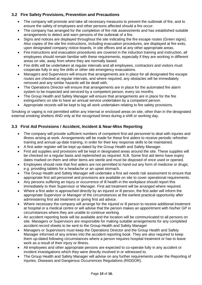# **3.2 Fire Safety Provisions, Prevention and Precautions**

- The company will promote and take all necessary measures to prevent the outbreak of fire, and to ensure the safety of employees and other persons affected should a fire occur.
- The company has arranged for the completion of fire risk assessments and has established suitable arrangements to detect and warn persons of the outbreak of a fire.
- Signs and notices are displayed throughout the site indicating the fire escape routes (Green signs). Also copies of the site fire instructions, including evacuation procedures, are displayed at fire exits, upon designated company notice-boards, in site offices and at any other appropriate areas.
- Fire instructions and evacuation procedures are covered in the induction training and instruction, all employees should remain familiar with these requirements, especially if they are working in different areas on site, away from where they are normally based.
- Fire drills will be undertaken at regular intervals and all employees, contractors and visitors must cooperate fully in any fire drills or other site emergency evacuations.
- Managers and Supervisors will ensure that arrangements are in place for all designated fire escape routes are checked at regular intervals, and where required, any obstacles will be immediately removed and any similar hazards will be dealt with.
- The Operations Director will ensure that arrangements are in place for the automated fire alarm system to be inspected and serviced by a competent person, every six months.
- The Group Health and Safety Manager will ensure that arrangements are in place for the fire extinguishers on site to have an annual service undertaken by a competent person.
- Appropriate records will be kept to log all work undertaken relating to fire safety provisions.

Smoking or vaping is not permitted within any internal or enclosed areas on site, other than in the designated external smoking shelters AND only at the recognised times during a shift or working day.

# **3.3 First Aid Provisions / Accident, Incident & Near-Miss Reporting**

- The company will provide sufficient numbers of competent first-aid personnel to deal with injuries and illness arising at work. Arrangements will be made for these first aiders to receive periodic refresher training and annual up-date training, in order for their key response skills to be maintained.
- A first aider register will be kept up-dated by the Group Health and Safety Manager.
- First aid supplies and provisions will be kept in designated areas around the site. These supplies will be checked on a regular basis and replenished as required. N.B. Some first aid items have expiry dates marked on them and other items are sterile and must be disposed of once used or opened.
- Employees should note that first aiders are not permitted to hand out any form of medicine or drugs; e.g. providing tablets for a headache or an upset stomach.
- The Group Health and Safety Manager will undertake a first aid needs risk assessment to ensure that appropriate first aid personnel and provisions are available on site to cover operational requirements.
- Any persons suffering an injury or occurrence of ill health in the workplace should report this immediately to their Supervisor or Manager. First aid treatment will be arranged where required.
- Where a first aider is approached directly by an injured or ill person, the first aider will inform the appropriate Supervisor or Manager of the circumstances at the earliest practical opportunity after administering first aid treatment or giving first aid advice.
- Where necessary the company will arrange for the injured or ill person to receive additional treatment at hospital or a medical centre or will advise that the person makes an appointment with his/her GP in circumstances where they are unable to continue working.
- An accident reporting book will be available and the location will be communicated to all persons on site. Managers or Supervisors are responsible for making suitable arrangements for any completed accident record sheets to be sent to the Group Health and Safety Manager
- Managers or Supervisors must keep the Operations Director and the Group Health and Safety Manager informed of any entries into the accident reporting book. They are also required to keep them up-dated following circumstances where a person requires hospital treatment or has to leave work as a result of their injury or illness.
- All employees and other appropriate persons are expected to co-operate fully in any accident or incident investigations which they were directly involved in or witnessed to.
- The Group Health and Safety Manager will advise on any further requirements under the Reporting of Injuries, Diseases and Dangerous Occurrences Regulations (RIDDOR).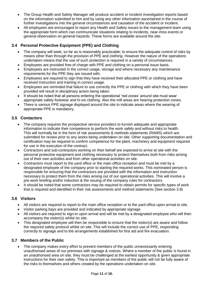- The Group Health and Safety Manager will produce accident or incident investigation reports based on the information submitted to him and by using any other information ascertained in the course of further investigations into the general circumstances and causation of the accident or incident.
- All employees are encouraged to report any Health and Safety issues to the management team using the appropriate form which can communicate situations relating to incidents, near-miss events or general observation on general hazards. These forms are available around the site.

# **3.4 Personal Protective Equipment (PPE) and Clothing**

- The company will seek, so far as is reasonably practicable; to ensure the adequate control of risks by means other than through the provision of PPE and clothing. However the nature of the operations undertaken means that the use of such protection is required in a variety of circumstances.
- Employees are provided free of charge with PPE and clothing on a personal issue basis.
- Employees are instructed in the correct usage, storage and where necessary any maintenance requirements for the PPE they are issued with.
- Employees are required to sign that they have received their allocated PPE or clothing and have received instruction and training in correct usage.
- Employees are reminded that failure to use correctly the PPE or clothing with which they have been provided will result in disciplinary action being taken.
- It should be noted that all persons entering the operational 'red zones' around site must wear appropriate safety footwear and hi-vis clothing. Also the mill areas are hearing protection zones.
- There is various PPE signage displayed around the site to indicate areas where the wearing of appropriate PPE is mandatory.

### **3.5 Contactors**

- The company requires the prospective service providers to furnish adequate and appropriate information to indicate their competence to perform the work safely and without risks to health. This will normally be in the form of risk assessments & methods statements (RAMS) which are submitted for review prior to any works being undertaken on site. Other supporting documentation and certification may be required to confirm competence for the plant, machinery and equipment required for use in the execution of the contract.
- Contractors and sub-contractors working on their behalf are expected to arrive at site with the personal protective equipment and clothing necessary to protect themselves both from risks arising out of their own activities and from other operational activities on site.
- Contractors must report to the yard office or the main office reception and must be met by a designated employee of the company prior to starting the required works. This nominated person is responsible for ensuring that the contractors are provided with the information and instruction necessary to protect them from the risks arising out of our operational activities. This will involve a pre-work briefing and/or induction & the issuing of the company rules for contractors.
- It should be noted that some contractors may be required to obtain permits for specific types of work that is required and identified in their risk assessments and method statements (See section 3.8)

# **3.6 Visitors**

- All visitors are required to report to the main office reception or to the yard office upon arrival to site.
- Visitor parking bays are provided and indicated by appropriate signage.
- All visitors are required to sign-in upon arrival and will be met by a designated employee who will then accompany the visitor(s) whilst on site.
- This designated employee will then be responsible to ensure that the visitor(s) are aware and follow the required safety protocol whilst on site. This will include the correct use of PPE, responding correctly to signage and to the arrangements established for first aid and fire evacuation.

#### **3.7 Members of the Public**

 The company makes every effort to prevent members of the public unnecessarily entering unauthorised areas of our premises with signage & notices. Where a member of the public is found in an unauthorised area on site, they must be challenged at the earliest opportunity & given appropriate instructions for their own safety. This is important as members of the public will not be fully aware of the risks to themselves and others created by the operations undertaken on site.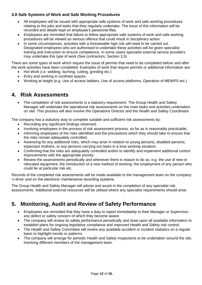# **3.8 Safe Systems of Work and Safe Working Procedures**

- All employees will be issued with appropriate safe systems of work and safe working procedures relating to the jobs and tasks that they regularly undertake. The issue of this information will be recorded and details kept on employee's personnel files.
- Employees are reminded that failure to follow appropriate safe systems of work and safe working procedures will be viewed as serious offence that could result in disciplinary action.
- In some circumstances, activities with a foreseeable high risk will need to be carried out. Designated employees who are authorised to undertake these activities will be given specialist training and instruction to ensure competence. In some cases specialist external service providers may undertake this type of work (See contractors; Section 3.5)

There are some types of work which require the issue of permits that need to be completed before and after the work activities have been completed. Examples of work that require permits or additional information are:

- Hot Work (i.e. welding, burning, cutting, grinding etc.)
- Entry and working in confined spaces.
- Working at height (e.g. Use of access ladders, Use of access platforms, Operation of MEWPS etc.)

# **4. Risk Assessments**

 The completion of risk assessments is a statutory requirement. The Group Health and Safety Manager will undertake the operational risk assessments on the main tasks and activities undertaken on site. This process will also involve the Operations Director and the Health and Safety Coordinator.

The company has a statutory duty to complete suitable and sufficient risk assessments by:

- Recording any significant findings observed;
- Involving employees in the process of risk assessment process, so far as is reasonably practicable;
- Informing employees of the risks identified and the precautions which they should take to ensure that the risks remain adequately controlled;
- Assessing for any additional risks, which may arise in relation to young persons, disabled persons, expectant mothers, or any persons carrying out tasks in a lone working situation;
- Confirming that the risks are adequately controlled and/or to identify and implement additional control improvements with the appropriate priority;
- Review the assessments periodically and whenever there is reason to do so, e.g. the use of new or relocated equipment, the introduction of a new method of working, the employment of any person who could be at particular risk etc.

Records of the completed risk assessments will be made available to the management team on the company 'v-drive' and on the electronic maintenance recording systems.

The Group Health and Safety Manager will advise and assist in the completion of any specialist risk assessments. Additional external resources will be utilised where any specialist requirements should arise.

# **5. Monitoring, Audit and Review of Safety Performance**

- Employees are reminded that they have a duty to report immediately to their Manager or Supervisor, any defect or safety concern of which they become aware.
- The company will review its safety performance periodically and draw upon all available information to establish plans for ongoing legislative compliance and improved Health and Safety risk control.
- The Health and Safety Committee will review any available accident or incident statistics on a regular basis to highlight trends or patterns.
- The company will arrange for periodic Health and Safety inspections to be undertaken around the site, involving different members of the management team.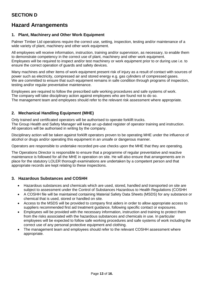# **Hazard Arrangements**

# **1. Plant, Machinery and Other Work Equipment**

Palmer Timber Ltd operations require the correct use, setting, inspection, testing and/or maintenance of a wide variety of plant, machinery and other work equipment.

All employees will receive information, instruction, training and/or supervision, as necessary, to enable them to demonstrate competency in the correct use of plant, machinery and other work equipment. Employees will be required to inspect and/or test machinery or work equipment prior to or during use i.e. to ensure the correct operation of guards and safety devices.

Many machines and other items of work equipment present risk of injury as a result of contact with sources of power such as electricity, compressed air and stored energy e.g. gas cylinders of compressed gases. We are committed to ensure that such equipment remains in safe condition through programs of inspection, testing and/or regular preventative maintenance.

Employees are required to follow the prescribed safe working procedures and safe systems of work. The company will take disciplinary action against employees who are found not to do so. The management team and employees should refer to the relevant risk assessment where appropriate.

# **2. Mechanical Handling Equipment (MHE)**

Only trained and certificated operators will be authorised to operate forklift trucks. The Group Health and Safety Manager will keep an up-dated register of operator training and instruction. All operators will be authorised in writing by the company.

Disciplinary action will be taken against forklift operators proven to be operating MHE under the influence of alcohol or drugs and/or operating this equipment in an unsafe or dangerous manner.

Operators are responsible to undertake recorded pre-use checks upon the MHE that they are operating.

The Operations Director is responsible to ensure that a programme of regular preventative and reactive maintenance is followed for all the MHE in operation on site. He will also ensure that arrangements are in place for the statutory LOLER thorough examinations are undertaken by a competent person and that appropriate records are kept relating to these inspections.

# **3. Hazardous Substances and COSHH**

- Hazardous substances and chemicals which are used, stored, handled and transported on site are subject to assessment under the Control of Substances Hazardous to Health Regulations (COSHH
- A COSHH file will be maintained containing Material Safety Data Sheets (MSDS) for any substance or chemical that is used, stored or handled on site.
- Access to the MSDS will be provided to company first aiders in order to allow appropriate access to suppliers recommended first aid treatment guidance, following specific contact or exposures.
- Employees will be provided with the necessary information, instruction and training to protect them from the risks associated with the hazardous substances and chemicals in use. In particular employees will be expected to follow safe working procedures and safe systems of work including the correct use of any personal protective equipment and clothing.
- The management team and employees should refer to the relevant COSHH assessment where appropriate.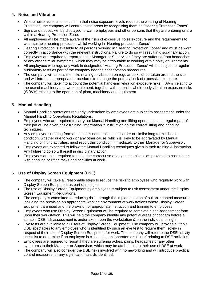# **4. Noise and Vibration**

- Where noise assessments confirm that noise exposure levels require the wearing of Hearing Protection, the company will control these areas by recognising them as "Hearing Protection Zones".
- Signs and notices will be displayed to warn employees and other persons that they are entering or are within a Hearing Protection Zone.
- All employees will be made aware of the risks of excessive noise exposure and the requirements to wear suitable hearing protection whilst working in "Hearing protection Zones"
- Hearing Protection is available to all persons working in "Hearing Protection Zones" and must be worn correctly in accordance with the relevant instructions. Failure to do so will result in disciplinary action.
- Employees are required to report to their Manager or Supervisor if they are suffering from headaches or any other similar symptoms, which they may be attributable to working within noisy environments.
- All employees who regularly work in designated "Hearing Protection Zones" will be subject to regular audiometry tests as part of the company hearing conservation procedures.
- The company will assess the risks relating to vibration on regular tasks undertaken around the site and will introduce appropriate procedures to manage the potential risk of excessive exposure.
- The company will take into account the potential hand-arm vibration exposure risks (HAV's) relating to the use of machinery and work equipment, together with potential whole-body vibration exposure risks (WBV's) relating to the operation of plant, machinery and equipment.

# **5. Manual Handling**

- Manual Handling operations regularly undertaken by employees are subject to assessment under the Manual Handling Operations Regulations.
- Employees who are required to carry out Manual Handling and lifting operations as a regular part of their job will be given basic training, information & instruction on the correct lifting and handling techniques.
- Any employee suffering from an acute muscular skeletal disorder or similar long term ill health condition, whether due to work or any other cause, which is likely to be aggravated by Manual Handling or lifting activities, must report this condition immediately to their Manager or Supervisor.
- Employees are expected to follow the Manual Handling techniques given in their training & instruction. Any failure to do so will result in disciplinary action.
- Employees are also required to make the correct use of any mechanical aids provided to assist them with handling or lifting tasks and activities at work.

# **6. Use of Display Screen Equipment (DSE)**

- The company will take all reasonable steps to reduce the risks to employees who regularly work with Display Screen Equipment as part of their job.
- The use of Display Screen Equipment by employees is subject to risk assessment under the Display Screen Equipment Regulations.
- The company is committed to reducing risks through the implementation of suitable control measures including the provision an appropriate working environment at workstations where Display Screen Equipment are used and the provision of appropriate instruction and training to employees.
- Employees who use Display Screen Equipment will be required to complete a self-assessment form upon their workstation. This will help the company identify any potential areas of concern before a suitable DSE risk assessment is undertaken upon the workstation & on the individual using it.
- Eye tests are available to all users of Display Screen Equipment. The company will provide suitable DSE spectacles to any employee who is identified by such an eye test to require them, solely in respect of their use of Display Screen Equipment for work. The company will refer to the DSE activity checklist to determine if an employee is classed as an 'operator' or a 'user' relating to DSE activities.
- Employees are required to report if they are suffering aches, pains, headaches or any other symptoms to their Manager or Supervisor, which may be attributable to their use of DSE at work.
- The company will also consider the DSE risks involved with homeworking and will introduce practical control measures for any significant hazards identified.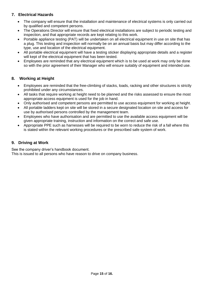# **7. Electrical Hazards**

- The company will ensure that the installation and maintenance of electrical systems is only carried out by qualified and competent persons.
- The Operations Director will ensure that fixed electrical installations are subject to periodic testing and inspection, and that appropriate records are kept relating to this work.
- Portable appliance testing (PAT) will be undertaken on all electrical equipment in use on site that has a plug. This testing and inspection will normally be on an annual basis but may differ according to the type, use and location of the electrical equipment.
- All portable electrical equipment will have a testing sticker displaying appropriate details and a register will kept of the electrical equipment that has been tested.
- Employees are reminded that any electrical equipment which is to be used at work may only be done so with the prior agreement of their Manager who will ensure suitably of equipment and intended use.

# **8. Working at Height**

- Employees are reminded that the free-climbing of stacks, loads, racking and other structures is strictly prohibited under any circumstances.
- All tasks that require working at height need to be planned and the risks assessed to ensure the most appropriate access equipment is used for the job in hand.
- Only authorised and competent persons are permitted to use access equipment for working at height.
- All portable ladders kept on site will be stored in a secure designated location on site and access for use by authorised persons controlled by the management team.
- Employees who have authorisation and are permitted to use the available access equipment will be given appropriate training, instruction and information on the correct and safe use.
- Appropriate PPE such as harnesses will be required to be worn to reduce the risk of a fall where this is stated within the relevant working procedures or the prescribed safe system of work.

## **9. Driving at Work**

See the company driver's handbook document.

This is issued to all persons who have reason to drive on company business.